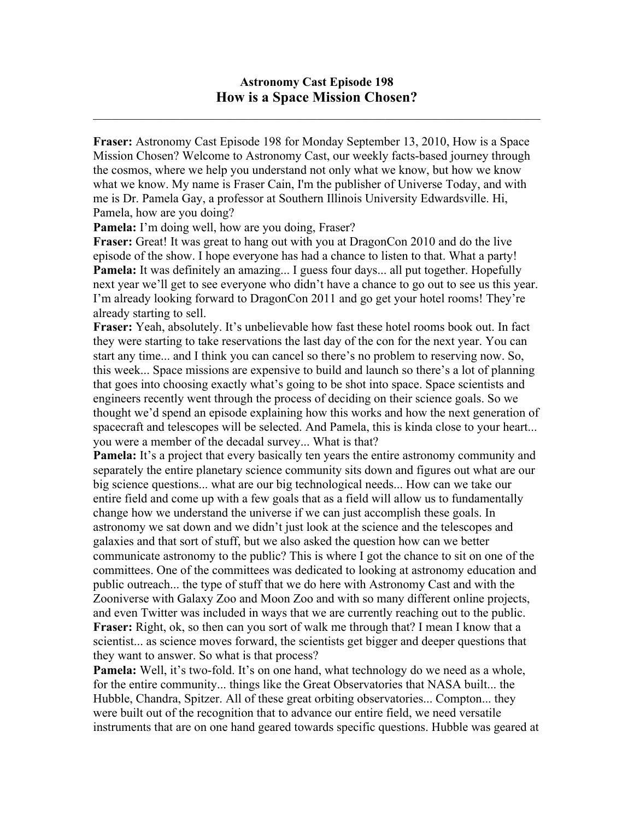$\mathcal{L}_\text{max}$  , and the contribution of the contribution of the contribution of the contribution of the contribution of the contribution of the contribution of the contribution of the contribution of the contribution of t

**Fraser:** Astronomy Cast Episode 198 for Monday September 13, 2010, How is a Space Mission Chosen? Welcome to Astronomy Cast, our weekly facts-based journey through the cosmos, where we help you understand not only what we know, but how we know what we know. My name is Fraser Cain, I'm the publisher of Universe Today, and with me is Dr. Pamela Gay, a professor at Southern Illinois University Edwardsville. Hi, Pamela, how are you doing?

Pamela: I'm doing well, how are you doing, Fraser?

**Fraser:** Great! It was great to hang out with you at DragonCon 2010 and do the live episode of the show. I hope everyone has had a chance to listen to that. What a party! **Pamela:** It was definitely an amazing... I guess four days... all put together. Hopefully next year we'll get to see everyone who didn't have a chance to go out to see us this year. I'm already looking forward to DragonCon 2011 and go get your hotel rooms! They're already starting to sell.

**Fraser:** Yeah, absolutely. It's unbelievable how fast these hotel rooms book out. In fact they were starting to take reservations the last day of the con for the next year. You can start any time... and I think you can cancel so there's no problem to reserving now. So, this week... Space missions are expensive to build and launch so there's a lot of planning that goes into choosing exactly what's going to be shot into space. Space scientists and engineers recently went through the process of deciding on their science goals. So we thought we'd spend an episode explaining how this works and how the next generation of spacecraft and telescopes will be selected. And Pamela, this is kinda close to your heart... you were a member of the decadal survey... What is that?

**Pamela:** It's a project that every basically ten years the entire astronomy community and separately the entire planetary science community sits down and figures out what are our big science questions... what are our big technological needs... How can we take our entire field and come up with a few goals that as a field will allow us to fundamentally change how we understand the universe if we can just accomplish these goals. In astronomy we sat down and we didn't just look at the science and the telescopes and galaxies and that sort of stuff, but we also asked the question how can we better communicate astronomy to the public? This is where I got the chance to sit on one of the committees. One of the committees was dedicated to looking at astronomy education and public outreach... the type of stuff that we do here with Astronomy Cast and with the Zooniverse with Galaxy Zoo and Moon Zoo and with so many different online projects, and even Twitter was included in ways that we are currently reaching out to the public. **Fraser:** Right, ok, so then can you sort of walk me through that? I mean I know that a scientist... as science moves forward, the scientists get bigger and deeper questions that they want to answer. So what is that process?

**Pamela:** Well, it's two-fold. It's on one hand, what technology do we need as a whole, for the entire community... things like the Great Observatories that NASA built... the Hubble, Chandra, Spitzer. All of these great orbiting observatories... Compton... they were built out of the recognition that to advance our entire field, we need versatile instruments that are on one hand geared towards specific questions. Hubble was geared at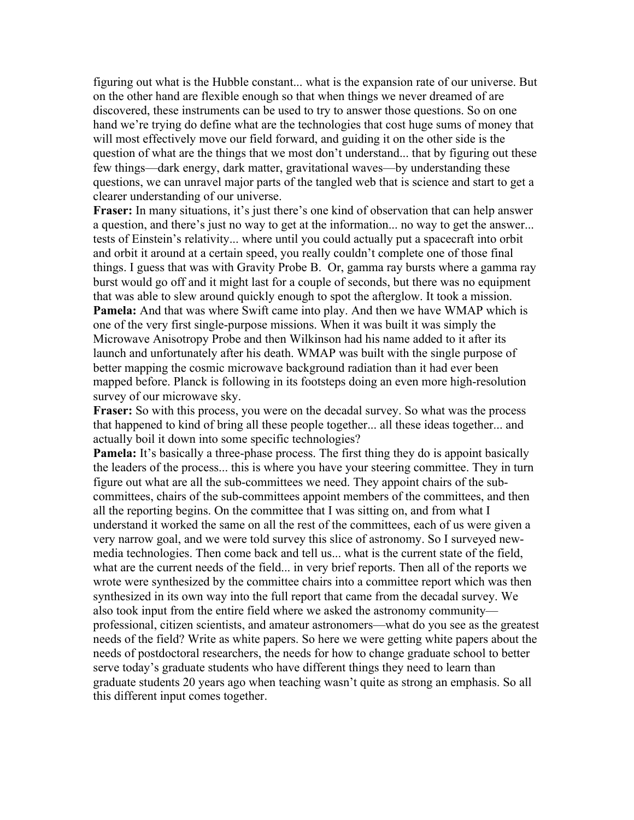figuring out what is the Hubble constant... what is the expansion rate of our universe. But on the other hand are flexible enough so that when things we never dreamed of are discovered, these instruments can be used to try to answer those questions. So on one hand we're trying do define what are the technologies that cost huge sums of money that will most effectively move our field forward, and guiding it on the other side is the question of what are the things that we most don't understand... that by figuring out these few things—dark energy, dark matter, gravitational waves—by understanding these questions, we can unravel major parts of the tangled web that is science and start to get a clearer understanding of our universe.

**Fraser:** In many situations, it's just there's one kind of observation that can help answer a question, and there's just no way to get at the information... no way to get the answer... tests of Einstein's relativity... where until you could actually put a spacecraft into orbit and orbit it around at a certain speed, you really couldn't complete one of those final things. I guess that was with Gravity Probe B. Or, gamma ray bursts where a gamma ray burst would go off and it might last for a couple of seconds, but there was no equipment that was able to slew around quickly enough to spot the afterglow. It took a mission. **Pamela:** And that was where Swift came into play. And then we have WMAP which is one of the very first single-purpose missions. When it was built it was simply the Microwave Anisotropy Probe and then Wilkinson had his name added to it after its launch and unfortunately after his death. WMAP was built with the single purpose of better mapping the cosmic microwave background radiation than it had ever been mapped before. Planck is following in its footsteps doing an even more high-resolution survey of our microwave sky.

**Fraser:** So with this process, you were on the decadal survey. So what was the process that happened to kind of bring all these people together... all these ideas together... and actually boil it down into some specific technologies?

**Pamela:** It's basically a three-phase process. The first thing they do is appoint basically the leaders of the process... this is where you have your steering committee. They in turn figure out what are all the sub-committees we need. They appoint chairs of the subcommittees, chairs of the sub-committees appoint members of the committees, and then all the reporting begins. On the committee that I was sitting on, and from what I understand it worked the same on all the rest of the committees, each of us were given a very narrow goal, and we were told survey this slice of astronomy. So I surveyed newmedia technologies. Then come back and tell us... what is the current state of the field, what are the current needs of the field... in very brief reports. Then all of the reports we wrote were synthesized by the committee chairs into a committee report which was then synthesized in its own way into the full report that came from the decadal survey. We also took input from the entire field where we asked the astronomy community professional, citizen scientists, and amateur astronomers—what do you see as the greatest needs of the field? Write as white papers. So here we were getting white papers about the needs of postdoctoral researchers, the needs for how to change graduate school to better serve today's graduate students who have different things they need to learn than graduate students 20 years ago when teaching wasn't quite as strong an emphasis. So all this different input comes together.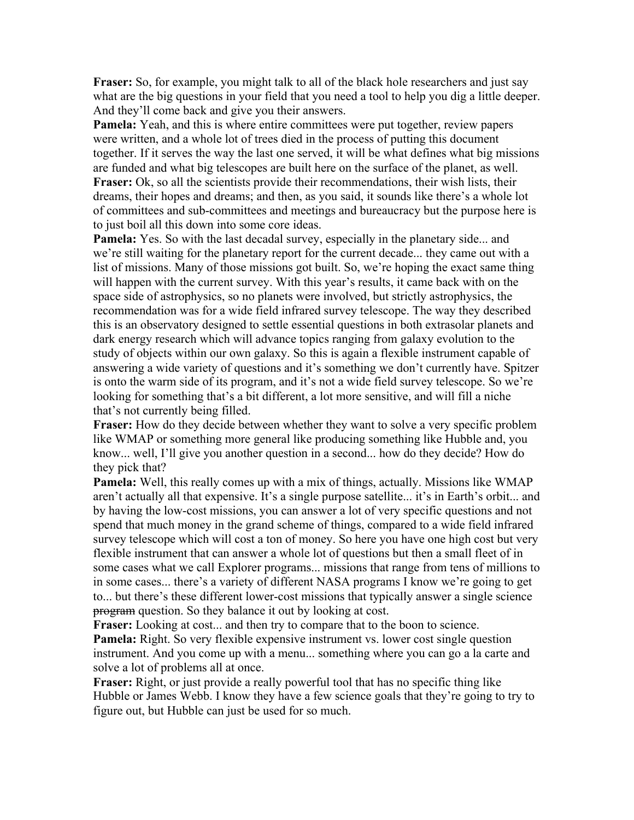**Fraser:** So, for example, you might talk to all of the black hole researchers and just say what are the big questions in your field that you need a tool to help you dig a little deeper. And they'll come back and give you their answers.

**Pamela:** Yeah, and this is where entire committees were put together, review papers were written, and a whole lot of trees died in the process of putting this document together. If it serves the way the last one served, it will be what defines what big missions are funded and what big telescopes are built here on the surface of the planet, as well. **Fraser:** Ok, so all the scientists provide their recommendations, their wish lists, their dreams, their hopes and dreams; and then, as you said, it sounds like there's a whole lot of committees and sub-committees and meetings and bureaucracy but the purpose here is to just boil all this down into some core ideas.

**Pamela:** Yes. So with the last decadal survey, especially in the planetary side... and we're still waiting for the planetary report for the current decade... they came out with a list of missions. Many of those missions got built. So, we're hoping the exact same thing will happen with the current survey. With this year's results, it came back with on the space side of astrophysics, so no planets were involved, but strictly astrophysics, the recommendation was for a wide field infrared survey telescope. The way they described this is an observatory designed to settle essential questions in both extrasolar planets and dark energy research which will advance topics ranging from galaxy evolution to the study of objects within our own galaxy. So this is again a flexible instrument capable of answering a wide variety of questions and it's something we don't currently have. Spitzer is onto the warm side of its program, and it's not a wide field survey telescope. So we're looking for something that's a bit different, a lot more sensitive, and will fill a niche that's not currently being filled.

**Fraser:** How do they decide between whether they want to solve a very specific problem like WMAP or something more general like producing something like Hubble and, you know... well, I'll give you another question in a second... how do they decide? How do they pick that?

**Pamela:** Well, this really comes up with a mix of things, actually. Missions like WMAP aren't actually all that expensive. It's a single purpose satellite... it's in Earth's orbit... and by having the low-cost missions, you can answer a lot of very specific questions and not spend that much money in the grand scheme of things, compared to a wide field infrared survey telescope which will cost a ton of money. So here you have one high cost but very flexible instrument that can answer a whole lot of questions but then a small fleet of in some cases what we call Explorer programs... missions that range from tens of millions to in some cases... there's a variety of different NASA programs I know we're going to get to... but there's these different lower-cost missions that typically answer a single science **program** question. So they balance it out by looking at cost.

**Fraser:** Looking at cost... and then try to compare that to the boon to science. **Pamela:** Right. So very flexible expensive instrument vs. lower cost single question instrument. And you come up with a menu... something where you can go a la carte and solve a lot of problems all at once.

**Fraser:** Right, or just provide a really powerful tool that has no specific thing like Hubble or James Webb. I know they have a few science goals that they're going to try to figure out, but Hubble can just be used for so much.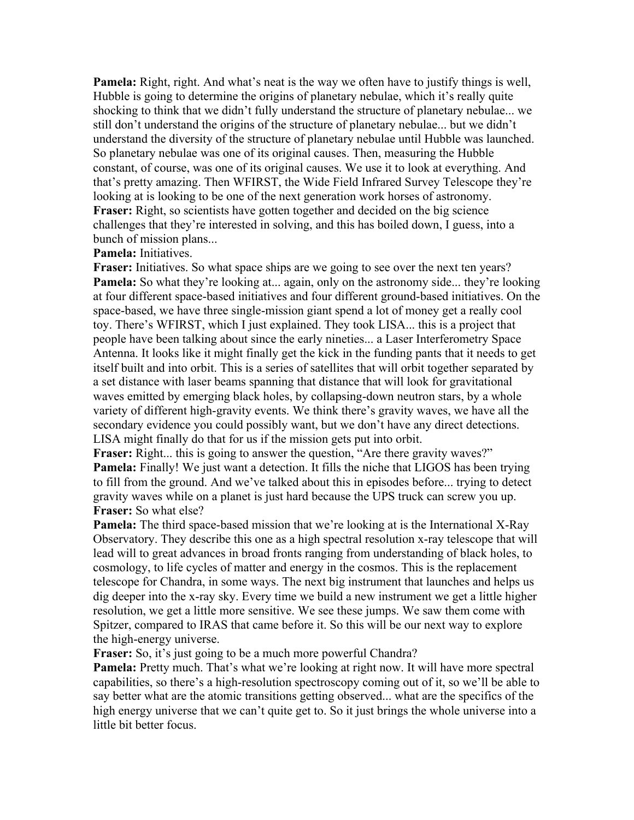**Pamela:** Right, right. And what's neat is the way we often have to justify things is well, Hubble is going to determine the origins of planetary nebulae, which it's really quite shocking to think that we didn't fully understand the structure of planetary nebulae... we still don't understand the origins of the structure of planetary nebulae... but we didn't understand the diversity of the structure of planetary nebulae until Hubble was launched. So planetary nebulae was one of its original causes. Then, measuring the Hubble constant, of course, was one of its original causes. We use it to look at everything. And that's pretty amazing. Then WFIRST, the Wide Field Infrared Survey Telescope they're looking at is looking to be one of the next generation work horses of astronomy. **Fraser:** Right, so scientists have gotten together and decided on the big science challenges that they're interested in solving, and this has boiled down, I guess, into a bunch of mission plans...

## **Pamela:** Initiatives.

**Fraser:** Initiatives. So what space ships are we going to see over the next ten years? **Pamela:** So what they're looking at... again, only on the astronomy side... they're looking at four different space-based initiatives and four different ground-based initiatives. On the space-based, we have three single-mission giant spend a lot of money get a really cool toy. There's WFIRST, which I just explained. They took LISA... this is a project that people have been talking about since the early nineties... a Laser Interferometry Space Antenna. It looks like it might finally get the kick in the funding pants that it needs to get itself built and into orbit. This is a series of satellites that will orbit together separated by a set distance with laser beams spanning that distance that will look for gravitational waves emitted by emerging black holes, by collapsing-down neutron stars, by a whole variety of different high-gravity events. We think there's gravity waves, we have all the secondary evidence you could possibly want, but we don't have any direct detections. LISA might finally do that for us if the mission gets put into orbit.

**Fraser:** Right... this is going to answer the question, "Are there gravity waves?" **Pamela:** Finally! We just want a detection. It fills the niche that LIGOS has been trying to fill from the ground. And we've talked about this in episodes before... trying to detect gravity waves while on a planet is just hard because the UPS truck can screw you up. **Fraser:** So what else?

**Pamela:** The third space-based mission that we're looking at is the International X-Ray Observatory. They describe this one as a high spectral resolution x-ray telescope that will lead will to great advances in broad fronts ranging from understanding of black holes, to cosmology, to life cycles of matter and energy in the cosmos. This is the replacement telescope for Chandra, in some ways. The next big instrument that launches and helps us dig deeper into the x-ray sky. Every time we build a new instrument we get a little higher resolution, we get a little more sensitive. We see these jumps. We saw them come with Spitzer, compared to IRAS that came before it. So this will be our next way to explore the high-energy universe.

**Fraser:** So, it's just going to be a much more powerful Chandra?

**Pamela:** Pretty much. That's what we're looking at right now. It will have more spectral capabilities, so there's a high-resolution spectroscopy coming out of it, so we'll be able to say better what are the atomic transitions getting observed... what are the specifics of the high energy universe that we can't quite get to. So it just brings the whole universe into a little bit better focus.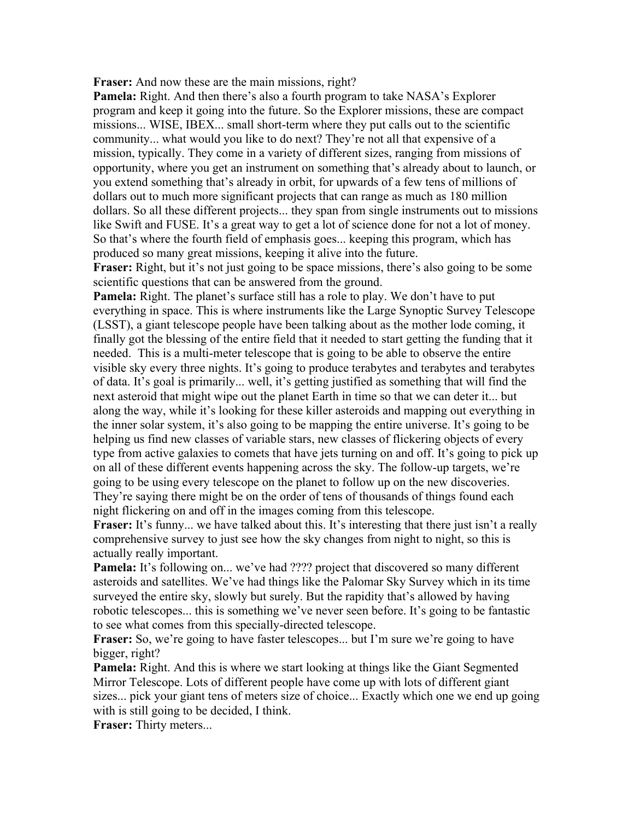**Fraser:** And now these are the main missions, right?

**Pamela:** Right. And then there's also a fourth program to take NASA's Explorer program and keep it going into the future. So the Explorer missions, these are compact missions... WISE, IBEX... small short-term where they put calls out to the scientific community... what would you like to do next? They're not all that expensive of a mission, typically. They come in a variety of different sizes, ranging from missions of opportunity, where you get an instrument on something that's already about to launch, or you extend something that's already in orbit, for upwards of a few tens of millions of dollars out to much more significant projects that can range as much as 180 million dollars. So all these different projects... they span from single instruments out to missions like Swift and FUSE. It's a great way to get a lot of science done for not a lot of money. So that's where the fourth field of emphasis goes... keeping this program, which has produced so many great missions, keeping it alive into the future.

**Fraser:** Right, but it's not just going to be space missions, there's also going to be some scientific questions that can be answered from the ground.

**Pamela:** Right. The planet's surface still has a role to play. We don't have to put everything in space. This is where instruments like the Large Synoptic Survey Telescope (LSST), a giant telescope people have been talking about as the mother lode coming, it finally got the blessing of the entire field that it needed to start getting the funding that it needed. This is a multi-meter telescope that is going to be able to observe the entire visible sky every three nights. It's going to produce terabytes and terabytes and terabytes of data. It's goal is primarily... well, it's getting justified as something that will find the next asteroid that might wipe out the planet Earth in time so that we can deter it... but along the way, while it's looking for these killer asteroids and mapping out everything in the inner solar system, it's also going to be mapping the entire universe. It's going to be helping us find new classes of variable stars, new classes of flickering objects of every type from active galaxies to comets that have jets turning on and off. It's going to pick up on all of these different events happening across the sky. The follow-up targets, we're going to be using every telescope on the planet to follow up on the new discoveries. They're saying there might be on the order of tens of thousands of things found each night flickering on and off in the images coming from this telescope.

**Fraser:** It's funny... we have talked about this. It's interesting that there just isn't a really comprehensive survey to just see how the sky changes from night to night, so this is actually really important.

**Pamela:** It's following on... we've had ???? project that discovered so many different asteroids and satellites. We've had things like the Palomar Sky Survey which in its time surveyed the entire sky, slowly but surely. But the rapidity that's allowed by having robotic telescopes... this is something we've never seen before. It's going to be fantastic to see what comes from this specially-directed telescope.

**Fraser:** So, we're going to have faster telescopes... but I'm sure we're going to have bigger, right?

**Pamela:** Right. And this is where we start looking at things like the Giant Segmented Mirror Telescope. Lots of different people have come up with lots of different giant sizes... pick your giant tens of meters size of choice... Exactly which one we end up going with is still going to be decided. I think.

**Fraser:** Thirty meters...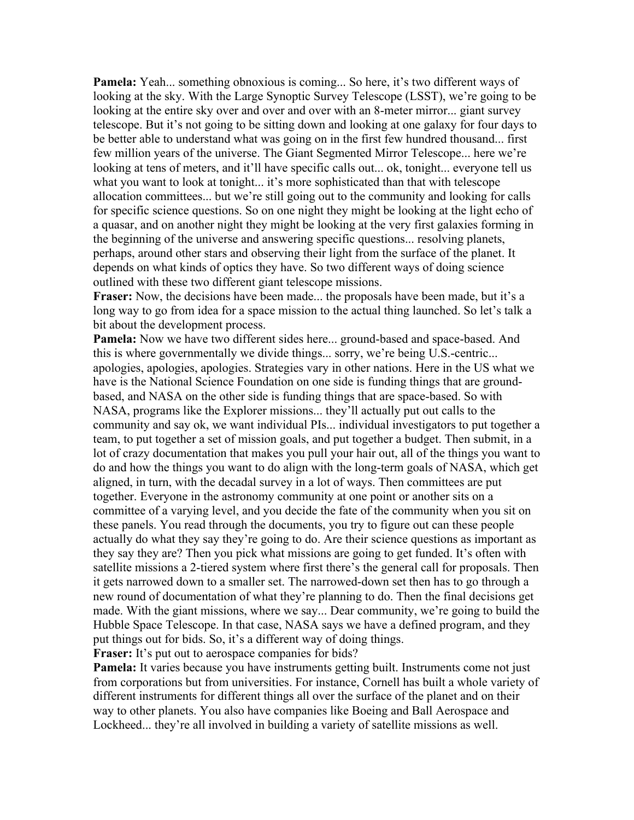**Pamela:** Yeah... something obnoxious is coming... So here, it's two different ways of looking at the sky. With the Large Synoptic Survey Telescope (LSST), we're going to be looking at the entire sky over and over and over with an 8-meter mirror... giant survey telescope. But it's not going to be sitting down and looking at one galaxy for four days to be better able to understand what was going on in the first few hundred thousand... first few million years of the universe. The Giant Segmented Mirror Telescope... here we're looking at tens of meters, and it'll have specific calls out... ok, tonight... everyone tell us what you want to look at tonight... it's more sophisticated than that with telescope allocation committees... but we're still going out to the community and looking for calls for specific science questions. So on one night they might be looking at the light echo of a quasar, and on another night they might be looking at the very first galaxies forming in the beginning of the universe and answering specific questions... resolving planets, perhaps, around other stars and observing their light from the surface of the planet. It depends on what kinds of optics they have. So two different ways of doing science outlined with these two different giant telescope missions.

**Fraser:** Now, the decisions have been made... the proposals have been made, but it's a long way to go from idea for a space mission to the actual thing launched. So let's talk a bit about the development process.

**Pamela:** Now we have two different sides here... ground-based and space-based. And this is where governmentally we divide things... sorry, we're being U.S.-centric... apologies, apologies, apologies. Strategies vary in other nations. Here in the US what we have is the National Science Foundation on one side is funding things that are groundbased, and NASA on the other side is funding things that are space-based. So with NASA, programs like the Explorer missions... they'll actually put out calls to the community and say ok, we want individual PIs... individual investigators to put together a team, to put together a set of mission goals, and put together a budget. Then submit, in a lot of crazy documentation that makes you pull your hair out, all of the things you want to do and how the things you want to do align with the long-term goals of NASA, which get aligned, in turn, with the decadal survey in a lot of ways. Then committees are put together. Everyone in the astronomy community at one point or another sits on a committee of a varying level, and you decide the fate of the community when you sit on these panels. You read through the documents, you try to figure out can these people actually do what they say they're going to do. Are their science questions as important as they say they are? Then you pick what missions are going to get funded. It's often with satellite missions a 2-tiered system where first there's the general call for proposals. Then it gets narrowed down to a smaller set. The narrowed-down set then has to go through a new round of documentation of what they're planning to do. Then the final decisions get made. With the giant missions, where we say... Dear community, we're going to build the Hubble Space Telescope. In that case, NASA says we have a defined program, and they put things out for bids. So, it's a different way of doing things.

**Fraser:** It's put out to aerospace companies for bids?

**Pamela:** It varies because you have instruments getting built. Instruments come not just from corporations but from universities. For instance, Cornell has built a whole variety of different instruments for different things all over the surface of the planet and on their way to other planets. You also have companies like Boeing and Ball Aerospace and Lockheed... they're all involved in building a variety of satellite missions as well.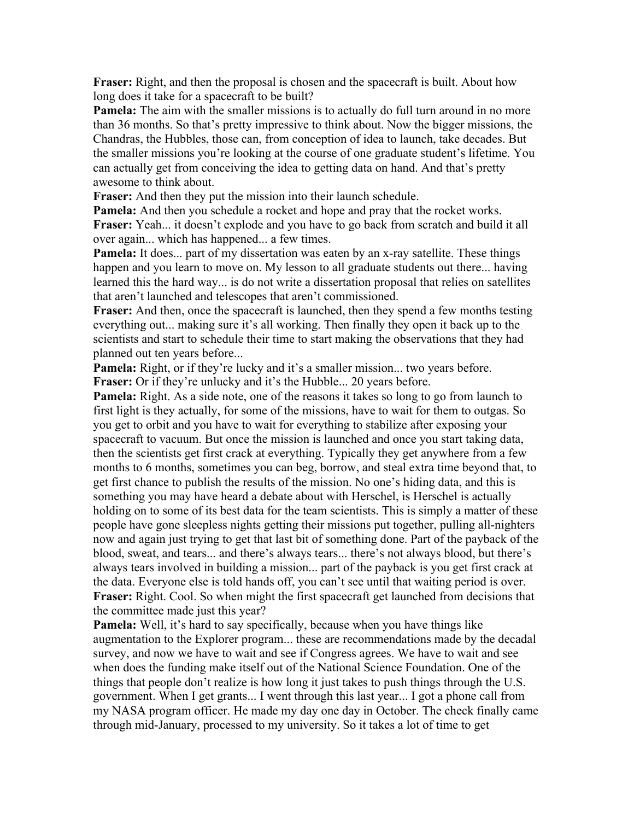**Fraser:** Right, and then the proposal is chosen and the spacecraft is built. About how long does it take for a spacecraft to be built?

**Pamela:** The aim with the smaller missions is to actually do full turn around in no more than 36 months. So that's pretty impressive to think about. Now the bigger missions, the Chandras, the Hubbles, those can, from conception of idea to launch, take decades. But the smaller missions you're looking at the course of one graduate student's lifetime. You can actually get from conceiving the idea to getting data on hand. And that's pretty awesome to think about.

**Fraser:** And then they put the mission into their launch schedule.

**Pamela:** And then you schedule a rocket and hope and pray that the rocket works. **Fraser:** Yeah... it doesn't explode and you have to go back from scratch and build it all over again... which has happened... a few times.

**Pamela:** It does... part of my dissertation was eaten by an x-ray satellite. These things happen and you learn to move on. My lesson to all graduate students out there... having learned this the hard way... is do not write a dissertation proposal that relies on satellites that aren't launched and telescopes that aren't commissioned.

**Fraser:** And then, once the spacecraft is launched, then they spend a few months testing everything out... making sure it's all working. Then finally they open it back up to the scientists and start to schedule their time to start making the observations that they had planned out ten years before...

**Pamela:** Right, or if they're lucky and it's a smaller mission... two years before. **Fraser:** Or if they're unlucky and it's the Hubble... 20 years before.

**Pamela:** Right. As a side note, one of the reasons it takes so long to go from launch to first light is they actually, for some of the missions, have to wait for them to outgas. So you get to orbit and you have to wait for everything to stabilize after exposing your spacecraft to vacuum. But once the mission is launched and once you start taking data, then the scientists get first crack at everything. Typically they get anywhere from a few months to 6 months, sometimes you can beg, borrow, and steal extra time beyond that, to get first chance to publish the results of the mission. No one's hiding data, and this is something you may have heard a debate about with Herschel, is Herschel is actually holding on to some of its best data for the team scientists. This is simply a matter of these people have gone sleepless nights getting their missions put together, pulling all-nighters now and again just trying to get that last bit of something done. Part of the payback of the blood, sweat, and tears... and there's always tears... there's not always blood, but there's always tears involved in building a mission... part of the payback is you get first crack at the data. Everyone else is told hands off, you can't see until that waiting period is over. **Fraser:** Right. Cool. So when might the first spacecraft get launched from decisions that the committee made just this year?

**Pamela:** Well, it's hard to say specifically, because when you have things like augmentation to the Explorer program... these are recommendations made by the decadal survey, and now we have to wait and see if Congress agrees. We have to wait and see when does the funding make itself out of the National Science Foundation. One of the things that people don't realize is how long it just takes to push things through the U.S. government. When I get grants... I went through this last year... I got a phone call from my NASA program officer. He made my day one day in October. The check finally came through mid-January, processed to my university. So it takes a lot of time to get